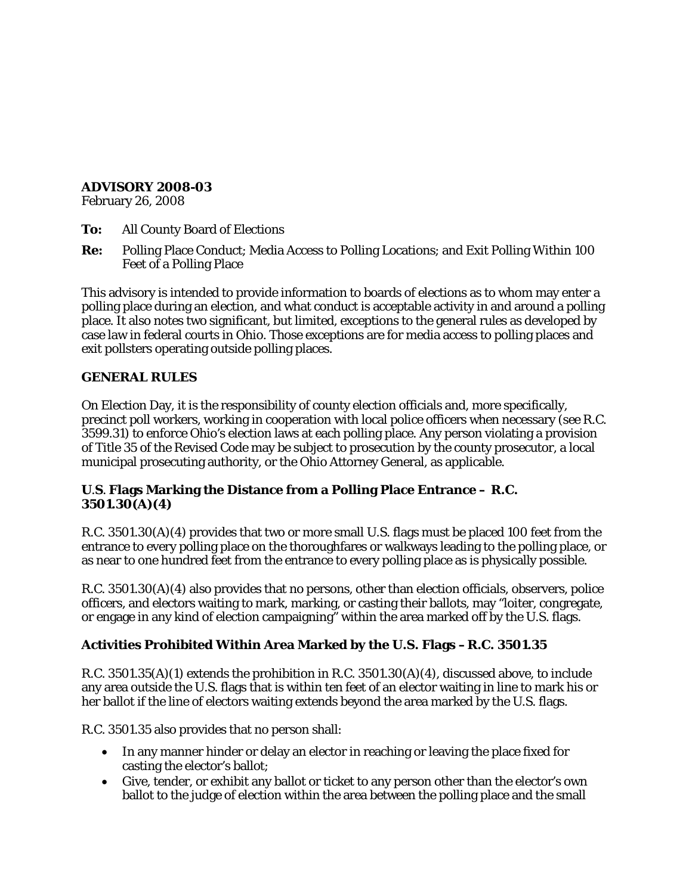#### **ADVISORY 2008-03**

February 26, 2008

- **To:** All County Board of Elections
- **Re:** Polling Place Conduct; Media Access to Polling Locations; and Exit Polling Within 100 Feet of a Polling Place

This advisory is intended to provide information to boards of elections as to whom may enter a polling place during an election, and what conduct is acceptable activity in and around a polling place. It also notes two significant, but limited, exceptions to the general rules as developed by case law in federal courts in Ohio. Those exceptions are for media access to polling places and exit pollsters operating outside polling places.

### **GENERAL RULES**

On Election Day, it is the responsibility of county election officials and, more specifically, precinct poll workers, working in cooperation with local police officers when necessary (*see* R.C. 3599.31) to enforce Ohio's election laws at each polling place. Any person violating a provision of Title 35 of the Revised Code may be subject to prosecution by the county prosecutor, a local municipal prosecuting authority, or the Ohio Attorney General, as applicable.

### **U.S. Flags Marking the Distance from a Polling Place Entrance – R.C. 3501.30(A)(4)**

R.C. 3501.30(A)(4) provides that two or more small U.S. flags must be placed 100 feet from the entrance to every polling place on the thoroughfares or walkways leading to the polling place, or as near to one hundred feet from the entrance to every polling place as is physically possible.

R.C. 3501.30(A)(4) also provides that no persons, other than election officials, observers, police officers, and electors waiting to mark, marking, or casting their ballots, may "loiter, congregate, or engage in any kind of election campaigning" within the area marked off by the U.S. flags.

### **Activities Prohibited Within Area Marked by the U.S. Flags –R.C. 3501.35**

R.C. 3501.35(A)(1) extends the prohibition in R.C. 3501.30(A)(4), discussed above, to include any area outside the U.S. flags that is within ten feet of an elector waiting in line to mark his or her ballot if the line of electors waiting extends beyond the area marked by the U.S. flags.

R.C. 3501.35 also provides that no person shall:

- In any manner hinder or delay an elector in reaching or leaving the place fixed for casting the elector's ballot;
- Give, tender, or exhibit any ballot or ticket to any person other than the elector's own ballot to the judge of election within the area between the polling place and the small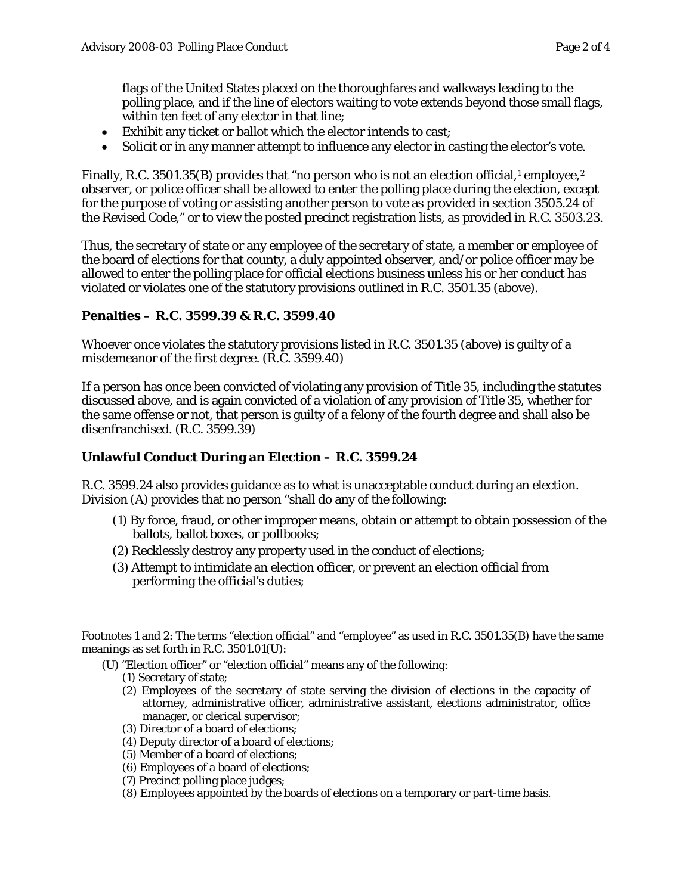flags of the United States placed on the thoroughfares and walkways leading to the polling place, and if the line of electors waiting to vote extends beyond those small flags, within ten feet of any elector in that line;

- Exhibit any ticket or ballot which the elector intends to cast;
- Solicit or in any manner attempt to influence any elector in casting the elector's vote.

Finally, R.C. 350[1](#page-1-0).35(B) provides that "no person who is not an election official,<sup>1</sup> employee,<sup>[2](#page-1-1)</sup> observer, or police officer shall be allowed to enter the polling place during the election, except for the purpose of voting or assisting another person to vote as provided in section 3505.24 of the Revised Code," or to view the posted precinct registration lists, as provided in R.C. 3503.23.

Thus, the secretary of state or any employee of the secretary of state, a member or employee of the board of elections for that county, a duly appointed observer, and/or police officer may be allowed to enter the polling place for official elections business unless his or her conduct has violated or violates one of the statutory provisions outlined in R.C. 3501.35 (above).

### **Penalties – R.C. 3599.39 & R.C. 3599.40**

Whoever once violates the statutory provisions listed in R.C. 3501.35 (above) is guilty of a misdemeanor of the first degree. (R.C. 3599.40)

If a person has once been convicted of violating any provision of Title 35, including the statutes discussed above, and is again convicted of a violation of any provision of Title 35, whether for the same offense or not, that person is guilty of a felony of the fourth degree and shall also be disenfranchised. (R.C. 3599.39)

## **Unlawful Conduct During an Election – R.C. 3599.24**

R.C. 3599.24 also provides guidance as to what is unacceptable conduct during an election. Division (A) provides that no person "shall do any of the following:

- (1) By force, fraud, or other improper means, obtain or attempt to obtain possession of the ballots, ballot boxes, or pollbooks;
- (2) Recklessly destroy any property used in the conduct of elections;
- (3) Attempt to intimidate an election officer, or prevent an election official from performing the official's duties;

- (U) "Election officer" or "election official" means any of the following:
	- (1) Secretary of state;

 $\overline{a}$ 

- (2) Employees of the secretary of state serving the division of elections in the capacity of attorney, administrative officer, administrative assistant, elections administrator, office manager, or clerical supervisor;
- (3) Director of a board of elections;
- (4) Deputy director of a board of elections;
- (5) Member of a board of elections;
- (6) Employees of a board of elections;
- (7) Precinct polling place judges;
- (8) Employees appointed by the boards of elections on a temporary or part-time basis.

<span id="page-1-1"></span><span id="page-1-0"></span>Footnotes 1 and 2: The terms "election official" and "employee" as used in R.C. 3501.35(B) have the same meanings as set forth in R.C. 3501.01(U):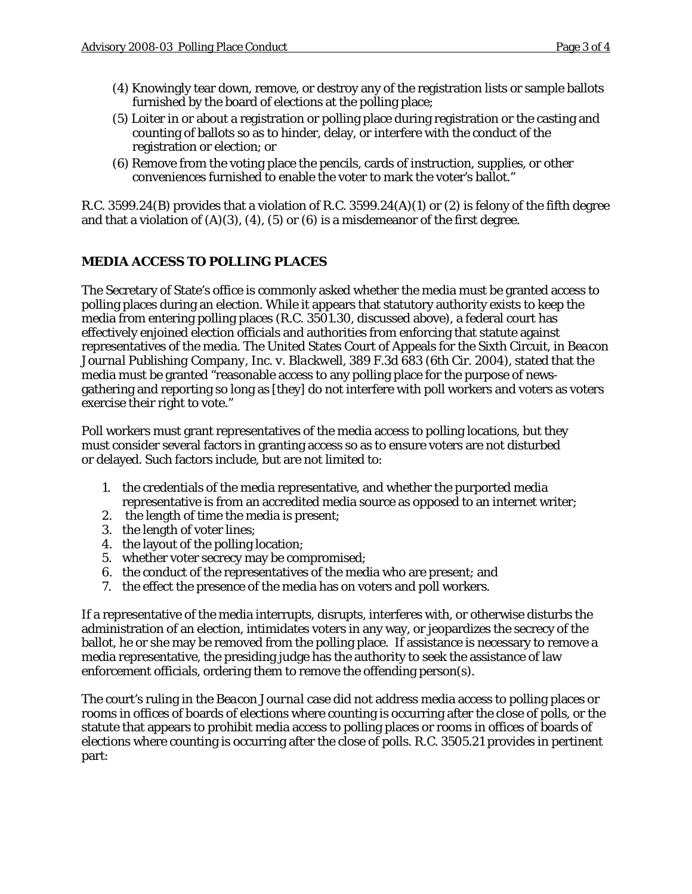- (4) Knowingly tear down, remove, or destroy any of the registration lists or sample ballots furnished by the board of elections at the polling place;
- (5) Loiter in or about a registration or polling place during registration or the casting and counting of ballots so as to hinder, delay, or interfere with the conduct of the registration or election; or
- (6) Remove from the voting place the pencils, cards of instruction, supplies, or other conveniences furnished to enable the voter to mark the voter's ballot."

R.C. 3599.24(B) provides that a violation of R.C. 3599.24(A)(1) or (2) is felony of the fifth degree and that a violation of  $(A)(3)$ ,  $(4)$ ,  $(5)$  or  $(6)$  is a misdemeanor of the first degree.

# **MEDIA ACCESS TO POLLING PLACES**

The Secretary of State's office is commonly asked whether the media must be granted access to polling places during an election. While it appears that statutory authority exists to keep the media from entering polling places (R.C. 3501.30, discussed above), a federal court has effectively enjoined election officials and authorities from enforcing that statute against representatives of the media. The United States Court of Appeals for the Sixth Circuit, in *Beacon Journal Publishing Company, Inc. v. Blackwell*, 389 F.3d 683 (6th Cir. 2004), stated that the media must be granted "reasonable access to any polling place for the purpose of newsgathering and reporting so long as [they] do not interfere with poll workers and voters as voters exercise their right to vote."

Poll workers must grant representatives of the media access to polling locations, but they must consider several factors in granting access so as to ensure voters are not disturbed or delayed. Such factors include, but are not limited to:

- 1. the credentials of the media representative, and whether the purported media representative is from an accredited media source as opposed to an internet writer;
- 2. the length of time the media is present;
- 3. the length of voter lines;
- 4. the layout of the polling location;
- 5. whether voter secrecy may be compromised;
- 6. the conduct of the representatives of the media who are present; and
- 7. the effect the presence of the media has on voters and poll workers.

If a representative of the media interrupts, disrupts, interferes with, or otherwise disturbs the administration of an election, intimidates voters in any way, or jeopardizes the secrecy of the ballot, he or she may be removed from the polling place. If assistance is necessary to remove a media representative, the presiding judge has the authority to seek the assistance of law enforcement officials, ordering them to remove the offending person(s).

The court's ruling in the *Beacon Journal* case did not address media access to polling places or rooms in offices of boards of elections where counting is occurring after the close of polls, or the statute that appears to prohibit media access to polling places or rooms in offices of boards of elections where counting is occurring after the close of polls. R.C. 3505.21 provides in pertinent part: